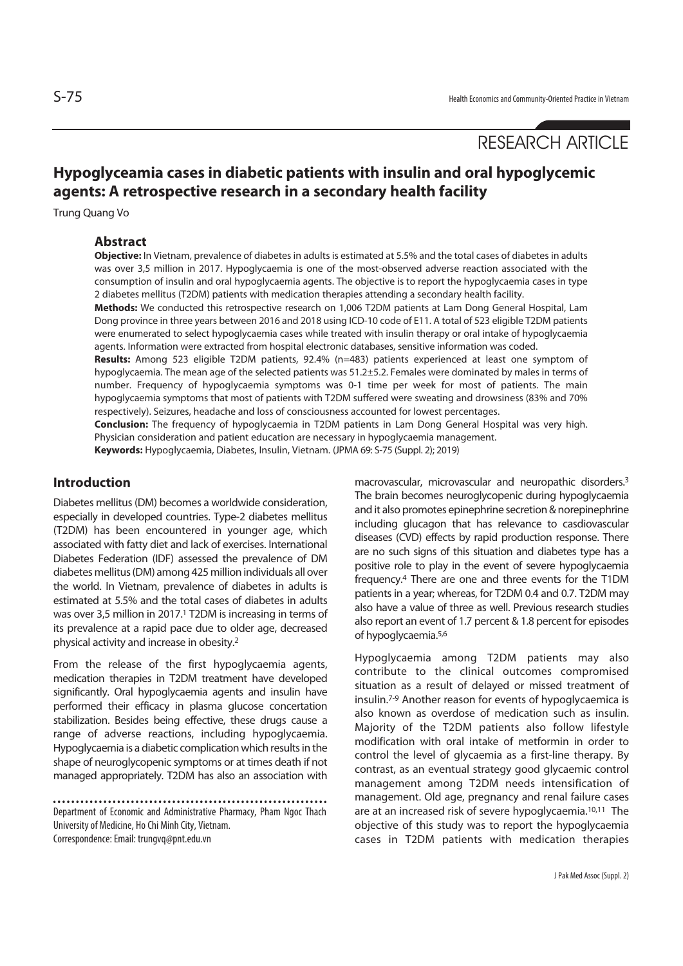# **Hypoglyceamia cases in diabetic patients with insulin and oral hypoglycemic agents: A retrospective research in a secondary health facility**

Trung Quang Vo

### **Abstract**

**Objective:** In Vietnam, prevalence of diabetes in adults is estimated at 5.5% and the total cases of diabetes in adults was over 3,5 million in 2017. Hypoglycaemia is one of the most-observed adverse reaction associated with the consumption of insulin and oral hypoglycaemia agents. The objective is to report the hypoglycaemia cases in type 2 diabetes mellitus (T2DM) patients with medication therapies attending a secondary health facility.

**Methods:** We conducted this retrospective research on 1,006 T2DM patients at Lam Dong General Hospital, Lam Dong province in three years between 2016 and 2018 using ICD-10 code of E11. A total of 523 eligible T2DM patients were enumerated to select hypoglycaemia cases while treated with insulin therapy or oral intake of hypoglycaemia agents. Information were extracted from hospital electronic databases, sensitive information was coded.

**Results:** Among 523 eligible T2DM patients, 92.4% (n=483) patients experienced at least one symptom of hypoglycaemia. The mean age of the selected patients was 51.2±5.2. Females were dominated by males in terms of number. Frequency of hypoglycaemia symptoms was 0-1 time per week for most of patients. The main hypoglycaemia symptoms that most of patients with T2DM suffered were sweating and drowsiness (83% and 70% respectively). Seizures, headache and loss of consciousness accounted for lowest percentages.

**Conclusion:** The frequency of hypoglycaemia in T2DM patients in Lam Dong General Hospital was very high. Physician consideration and patient education are necessary in hypoglycaemia management.

**Keywords:** Hypoglycaemia, Diabetes, Insulin, Vietnam. (JPMA 69: S-75 (Suppl. 2); 2019)

# **Introduction**

Diabetes mellitus (DM) becomes a worldwide consideration, especially in developed countries. Type-2 diabetes mellitus (T2DM) has been encountered in younger age, which associated with fatty diet and lack of exercises. International Diabetes Federation (IDF) assessed the prevalence of DM diabetes mellitus (DM) among 425 million individuals all over the world. In Vietnam, prevalence of diabetes in adults is estimated at 5.5% and the total cases of diabetes in adults was over 3,5 million in 2017.1 T2DM is increasing in terms of its prevalence at a rapid pace due to older age, decreased physical activity and increase in obesity.2

From the release of the first hypoglycaemia agents, medication therapies in T2DM treatment have developed significantly. Oral hypoglycaemia agents and insulin have performed their efficacy in plasma glucose concertation stabilization. Besides being effective, these drugs cause a range of adverse reactions, including hypoglycaemia. Hypoglycaemia is a diabetic complication which results in the shape of neuroglycopenic symptoms or at times death if not managed appropriately. T2DM has also an association with

Department of Economic and Administrative Pharmacy, Pham Ngoc Thach University of Medicine, Ho Chi Minh City, Vietnam. Correspondence: Email: trungvq@pnt.edu.vn

macrovascular, microvascular and neuropathic disorders.3 The brain becomes neuroglycopenic during hypoglycaemia and it also promotes epinephrine secretion & norepinephrine including glucagon that has relevance to casdiovascular diseases (CVD) effects by rapid production response. There are no such signs of this situation and diabetes type has a positive role to play in the event of severe hypoglycaemia frequency.4 There are one and three events for the T1DM patients in a year; whereas, for T2DM 0.4 and 0.7. T2DM may also have a value of three as well. Previous research studies also report an event of 1.7 percent & 1.8 percent for episodes of hypoglycaemia.5,6

Hypoglycaemia among T2DM patients may also contribute to the clinical outcomes compromised situation as a result of delayed or missed treatment of insulin.7-9 Another reason for events of hypoglycaemica is also known as overdose of medication such as insulin. Majority of the T2DM patients also follow lifestyle modification with oral intake of metformin in order to control the level of glycaemia as a first-line therapy. By contrast, as an eventual strategy good glycaemic control management among T2DM needs intensification of management. Old age, pregnancy and renal failure cases are at an increased risk of severe hypoglycaemia.10,11 The objective of this study was to report the hypoglycaemia cases in T2DM patients with medication therapies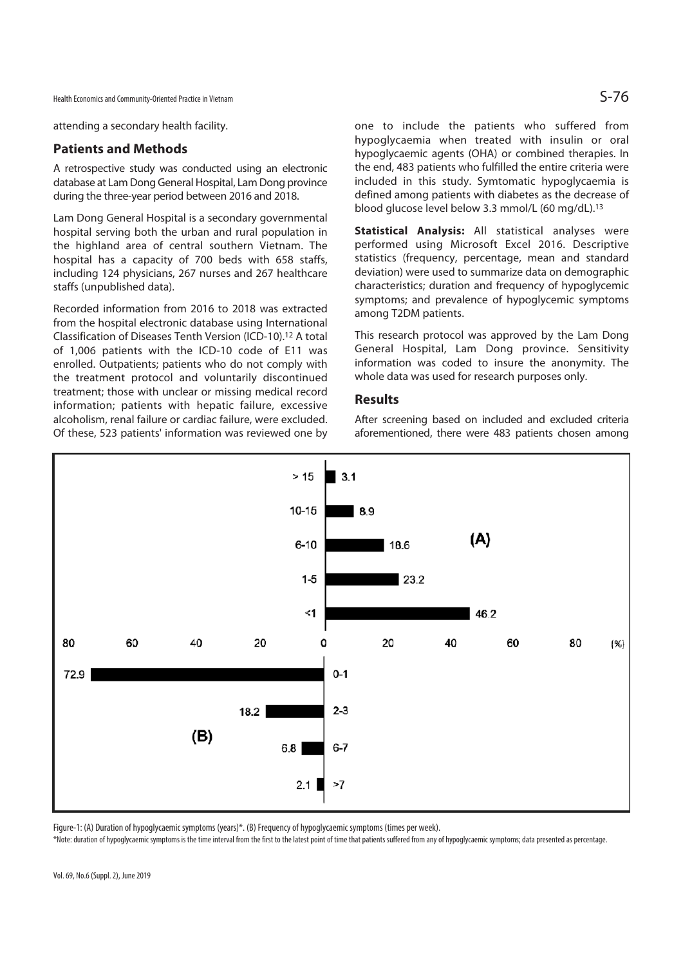Health Economics and Community-Oriented Practice in Vietnam  $S$ 

attending a secondary health facility.

### **Patients and Methods**

A retrospective study was conducted using an electronic database at Lam Dong General Hospital, Lam Dong province during the three-year period between 2016 and 2018.

Lam Dong General Hospital is a secondary governmental hospital serving both the urban and rural population in the highland area of central southern Vietnam. The hospital has a capacity of 700 beds with 658 staffs, including 124 physicians, 267 nurses and 267 healthcare staffs (unpublished data).

Recorded information from 2016 to 2018 was extracted from the hospital electronic database using International Classification of Diseases Tenth Version (ICD-10).12 A total of 1,006 patients with the ICD-10 code of E11 was enrolled. Outpatients; patients who do not comply with the treatment protocol and voluntarily discontinued treatment; those with unclear or missing medical record information; patients with hepatic failure, excessive alcoholism, renal failure or cardiac failure, were excluded. Of these, 523 patients' information was reviewed one by one to include the patients who suffered from hypoglycaemia when treated with insulin or oral hypoglycaemic agents (OHA) or combined therapies. In the end, 483 patients who fulfilled the entire criteria were included in this study. Symtomatic hypoglycaemia is defined among patients with diabetes as the decrease of blood glucose level below 3.3 mmol/L (60 mg/dL).13

**Statistical Analysis:** All statistical analyses were performed using Microsoft Excel 2016. Descriptive statistics (frequency, percentage, mean and standard deviation) were used to summarize data on demographic characteristics; duration and frequency of hypoglycemic symptoms; and prevalence of hypoglycemic symptoms among T2DM patients.

This research protocol was approved by the Lam Dong General Hospital, Lam Dong province. Sensitivity information was coded to insure the anonymity. The whole data was used for research purposes only.

### **Results**

After screening based on included and excluded criteria aforementioned, there were 483 patients chosen among



Figure-1: (A) Duration of hypoglycaemic symptoms (years)\*. (B) Frequency of hypoglycaemic symptoms (times per week).

\*Note: duration of hypoglycaemic symptoms is the time interval from the first to the latest point of time that patients suffered from any of hypoglycaemic symptoms; data presented as percentage.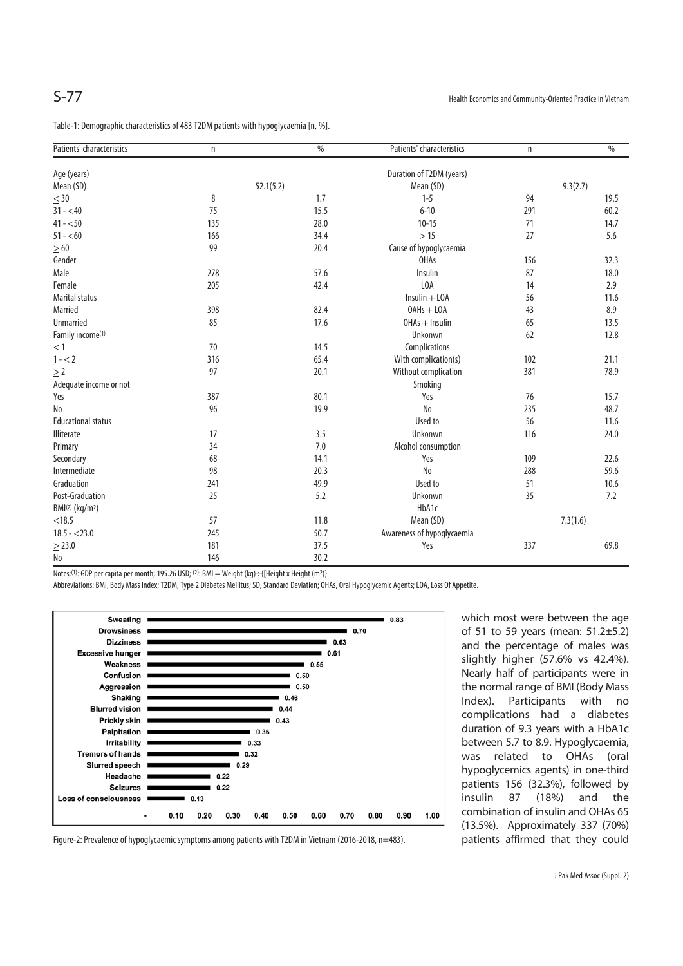Table-1: Demographic characteristics of 483 T2DM patients with hypoglycaemia [n, %].

| Patients' characteristics               | n         | $\frac{0}{6}$ | Patients' characteristics  | n        | $\frac{0}{6}$ |
|-----------------------------------------|-----------|---------------|----------------------------|----------|---------------|
| Age (years)                             |           |               | Duration of T2DM (years)   |          |               |
| Mean (SD)                               | 52.1(5.2) |               | Mean (SD)                  | 9.3(2.7) |               |
| $\leq 30$                               | 8         | 1.7           | $1 - 5$                    | 94       | 19.5          |
| $31 - 40$                               | 75        | 15.5          | $6 - 10$                   | 291      | 60.2          |
| $41 - 50$                               | 135       | 28.0          | $10 - 15$                  | 71       | 14.7          |
| $51 - 60$                               | 166       | 34.4          | >15                        | 27       | 5.6           |
| $\geq$ 60                               | 99        | 20.4          | Cause of hypoglycaemia     |          |               |
| Gender                                  |           |               | <b>OHAs</b>                | 156      | 32.3          |
| Male                                    | 278       | 57.6          | Insulin                    | 87       | 18.0          |
| Female                                  | 205       | 42.4          | LOA                        | 14       | 2.9           |
| Marital status                          |           |               | $Insulin + LOA$            | 56       | 11.6          |
| Married                                 | 398       | 82.4          | OAHs + LOA                 | 43       | 8.9           |
| <b>Unmarried</b>                        | 85        | 17.6          | $OHAs + Insulin$           | 65       | 13.5          |
| Family income <sup>(1)</sup>            |           |               | Unkonwn                    | 62       | 12.8          |
| $< 1\,$                                 | 70        | 14.5          | Complications              |          |               |
| $1 - 2$                                 | 316       | 65.4          | With complication(s)       | 102      | 21.1          |
| $\geq$ 2                                | 97        | 20.1          | Without complication       | 381      | 78.9          |
| Adequate income or not                  |           |               | Smoking                    |          |               |
| Yes                                     | 387       | 80.1          | Yes                        | 76       | 15.7          |
| No                                      | 96        | 19.9          | N <sub>o</sub>             | 235      | 48.7          |
| <b>Educational status</b>               |           |               | Used to                    | 56       | 11.6          |
| Illiterate                              | 17        | 3.5           | Unkonwn                    | 116      | 24.0          |
| Primary                                 | 34        | 7.0           | Alcohol consumption        |          |               |
| Secondary                               | 68        | 14.1          | Yes                        | 109      | 22.6          |
| Intermediate                            | 98        | 20.3          | N <sub>o</sub>             | 288      | 59.6          |
| Graduation                              | 241       | 49.9          | Used to                    | 51       | 10.6          |
| Post-Graduation                         | 25        | 5.2           | Unkonwn                    | 35       | 7.2           |
| BMI <sup>(2)</sup> (kg/m <sup>2</sup> ) |           |               | HbA1c                      |          |               |
| < 18.5                                  | 57        | 11.8          | Mean (SD)                  | 7.3(1.6) |               |
| $18.5 - 23.0$                           | 245       | 50.7          | Awareness of hypoglycaemia |          |               |
| $\geq$ 23.0                             | 181       | 37.5          | Yes                        | 337      | 69.8          |
| No                                      | 146       | 30.2          |                            |          |               |

Notes:(1): GDP per capita per month; 195.26 USD; (2): BMI = Weight (kg)÷{[Height x Height (m2)}

Abbreviations: BMI, Body Mass Index; T2DM, Type 2 Diabetes Mellitus; SD, Standard Deviation; OHAs, Oral Hypoglycemic Agents; LOA, Loss Of Appetite.



which most were between the age of 51 to 59 years (mean: 51.2±5.2) and the percentage of males was slightly higher (57.6% vs 42.4%). Nearly half of participants were in the normal range of BMI (Body Mass Index). Participants with no complications had a diabetes duration of 9.3 years with a HbA1c between 5.7 to 8.9. Hypoglycaemia, was related to OHAs (oral hypoglycemics agents) in one-third patients 156 (32.3%), followed by insulin 87 (18%) and the combination of insulin and OHAs 65 (13.5%). Approximately 337 (70%) patients affirmed that they could

Figure-2: Prevalence of hypoglycaemic symptoms among patients with T2DM in Vietnam (2016-2018, n=483).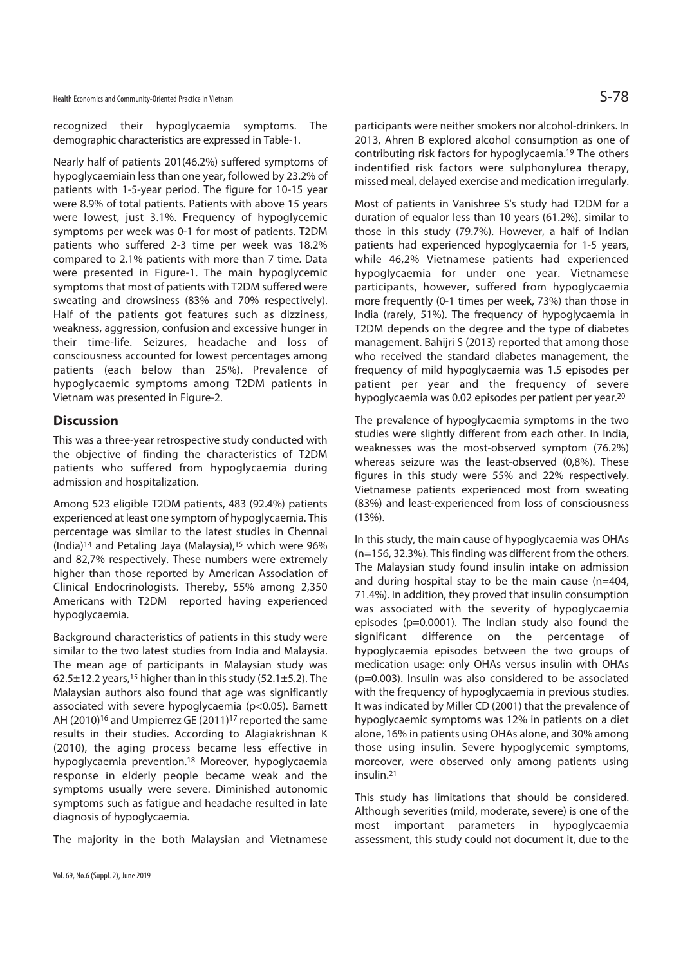Health Economics and Community-Oriented Practice in Vietnam  $S$ 

recognized their hypoglycaemia symptoms. The demographic characteristics are expressed in Table-1.

Nearly half of patients 201(46.2%) suffered symptoms of hypoglycaemiain less than one year, followed by 23.2% of patients with 1-5-year period. The figure for 10-15 year were 8.9% of total patients. Patients with above 15 years were lowest, just 3.1%. Frequency of hypoglycemic symptoms per week was 0-1 for most of patients. T2DM patients who suffered 2-3 time per week was 18.2% compared to 2.1% patients with more than 7 time. Data were presented in Figure-1. The main hypoglycemic symptoms that most of patients with T2DM suffered were sweating and drowsiness (83% and 70% respectively). Half of the patients got features such as dizziness, weakness, aggression, confusion and excessive hunger in their time-life. Seizures, headache and loss of consciousness accounted for lowest percentages among patients (each below than 25%). Prevalence of hypoglycaemic symptoms among T2DM patients in Vietnam was presented in Figure-2.

### **Discussion**

This was a three-year retrospective study conducted with the objective of finding the characteristics of T2DM patients who suffered from hypoglycaemia during admission and hospitalization.

Among 523 eligible T2DM patients, 483 (92.4%) patients experienced at least one symptom of hypoglycaemia. This percentage was similar to the latest studies in Chennai (India)<sup>14</sup> and Petaling Jaya (Malaysia),<sup>15</sup> which were 96% and 82,7% respectively. These numbers were extremely higher than those reported by American Association of Clinical Endocrinologists. Thereby, 55% among 2,350 Americans with T2DM reported having experienced hypoglycaemia.

Background characteristics of patients in this study were similar to the two latest studies from India and Malaysia. The mean age of participants in Malaysian study was  $62.5\pm12.2$  years,<sup>15</sup> higher than in this study (52.1 $\pm$ 5.2). The Malaysian authors also found that age was significantly associated with severe hypoglycaemia (p<0.05). Barnett AH (2010)<sup>16</sup> and Umpierrez GE (2011)<sup>17</sup> reported the same results in their studies. According to Alagiakrishnan K (2010), the aging process became less effective in hypoglycaemia prevention.18 Moreover, hypoglycaemia response in elderly people became weak and the symptoms usually were severe. Diminished autonomic symptoms such as fatigue and headache resulted in late diagnosis of hypoglycaemia.

The majority in the both Malaysian and Vietnamese

participants were neither smokers nor alcohol-drinkers. In 2013, Ahren B explored alcohol consumption as one of contributing risk factors for hypoglycaemia.19 The others indentified risk factors were sulphonylurea therapy, missed meal, delayed exercise and medication irregularly.

Most of patients in Vanishree S's study had T2DM for a duration of equalor less than 10 years (61.2%). similar to those in this study (79.7%). However, a half of Indian patients had experienced hypoglycaemia for 1-5 years, while 46,2% Vietnamese patients had experienced hypoglycaemia for under one year. Vietnamese participants, however, suffered from hypoglycaemia more frequently (0-1 times per week, 73%) than those in India (rarely, 51%). The frequency of hypoglycaemia in T2DM depends on the degree and the type of diabetes management. Bahijri S (2013) reported that among those who received the standard diabetes management, the frequency of mild hypoglycaemia was 1.5 episodes per patient per year and the frequency of severe hypoglycaemia was 0.02 episodes per patient per year.20

The prevalence of hypoglycaemia symptoms in the two studies were slightly different from each other. In India, weaknesses was the most-observed symptom (76.2%) whereas seizure was the least-observed (0,8%). These figures in this study were 55% and 22% respectively. Vietnamese patients experienced most from sweating (83%) and least-experienced from loss of consciousness (13%).

In this study, the main cause of hypoglycaemia was OHAs (n=156, 32.3%). This finding was different from the others. The Malaysian study found insulin intake on admission and during hospital stay to be the main cause (n=404, 71.4%). In addition, they proved that insulin consumption was associated with the severity of hypoglycaemia episodes (p=0.0001). The Indian study also found the significant difference on the percentage of hypoglycaemia episodes between the two groups of medication usage: only OHAs versus insulin with OHAs (p=0.003). Insulin was also considered to be associated with the frequency of hypoglycaemia in previous studies. It was indicated by Miller CD (2001) that the prevalence of hypoglycaemic symptoms was 12% in patients on a diet alone, 16% in patients using OHAs alone, and 30% among those using insulin. Severe hypoglycemic symptoms, moreover, were observed only among patients using insulin.21

This study has limitations that should be considered. Although severities (mild, moderate, severe) is one of the most important parameters in hypoglycaemia assessment, this study could not document it, due to the